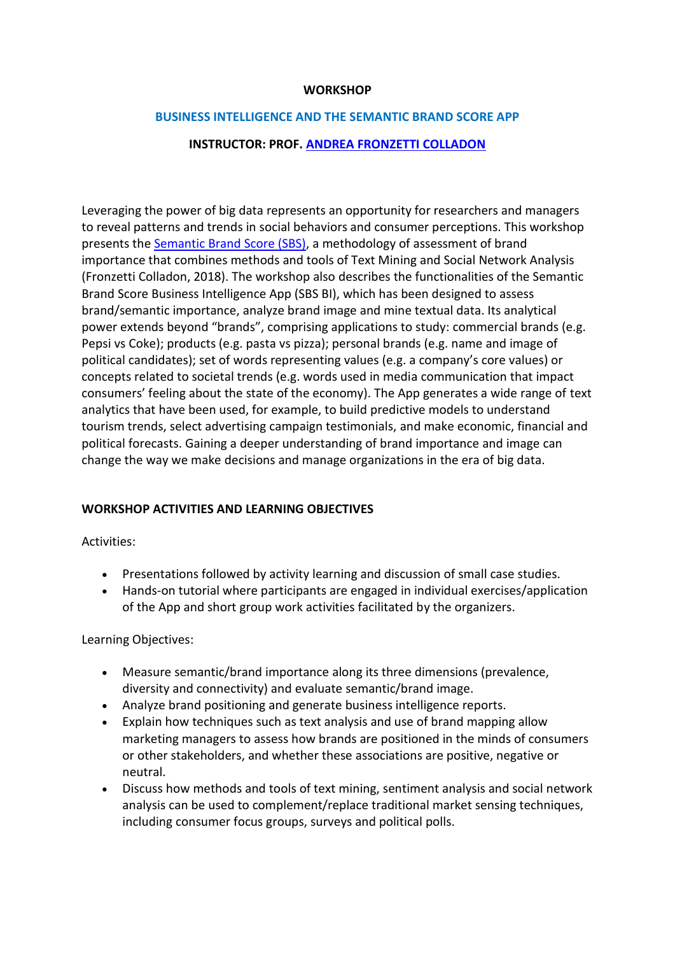### **WORKSHOP**

#### **BUSINESS INTELLIGENCE AND THE SEMANTIC BRAND SCORE APP**

## **INSTRUCTOR: PROF. [ANDREA FRONZETTI COLLADON](https://andreafc.com/)**

Leveraging the power of big data represents an opportunity for researchers and managers to reveal patterns and trends in social behaviors and consumer perceptions. This workshop presents the [Semantic Brand Score \(SBS\),](https://semanticbrandscore.com/) a methodology of assessment of brand importance that combines methods and tools of Text Mining and Social Network Analysis (Fronzetti Colladon, 2018). The workshop also describes the functionalities of the Semantic Brand Score Business Intelligence App (SBS BI), which has been designed to assess brand/semantic importance, analyze brand image and mine textual data. Its analytical power extends beyond "brands", comprising applications to study: commercial brands (e.g. Pepsi vs Coke); products (e.g. pasta vs pizza); personal brands (e.g. name and image of political candidates); set of words representing values (e.g. a company's core values) or concepts related to societal trends (e.g. words used in media communication that impact consumers' feeling about the state of the economy). The App generates a wide range of text analytics that have been used, for example, to build predictive models to understand tourism trends, select advertising campaign testimonials, and make economic, financial and political forecasts. Gaining a deeper understanding of brand importance and image can change the way we make decisions and manage organizations in the era of big data.

## **WORKSHOP ACTIVITIES AND LEARNING OBJECTIVES**

Activities:

- Presentations followed by activity learning and discussion of small case studies.
- Hands-on tutorial where participants are engaged in individual exercises/application of the App and short group work activities facilitated by the organizers.

Learning Objectives:

- Measure semantic/brand importance along its three dimensions (prevalence, diversity and connectivity) and evaluate semantic/brand image.
- Analyze brand positioning and generate business intelligence reports.
- Explain how techniques such as text analysis and use of brand mapping allow marketing managers to assess how brands are positioned in the minds of consumers or other stakeholders, and whether these associations are positive, negative or neutral.
- Discuss how methods and tools of text mining, sentiment analysis and social network analysis can be used to complement/replace traditional market sensing techniques, including consumer focus groups, surveys and political polls.